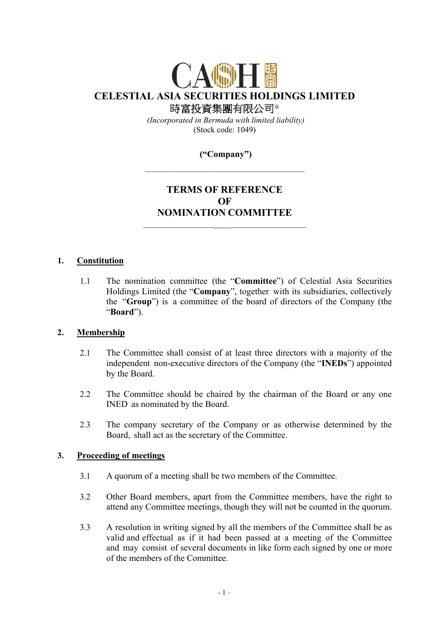

 *(Incorporated in Bermuda with limited liability)*  (Stock code: 1049)

# **("Company")**

# **TERMS OF REFERENCE OF NOMINATION COMMITTEE**  \_\_\_\_\_\_\_\_\_\_\_\_\_\_\_\_\_\_\_\_\_\_\_\_\_\_\_\_\_\_\_\_\_\_\_\_\_\_\_\_\_\_\_

#### **1. Constitution**

1.1 The nomination committee (the "**Committee**") of Celestial Asia Securities Holdings Limited (the "**Company**", together with its subsidiaries, collectively the "**Group**") is a committee of the board of directors of the Company (the "**Board**").

#### **2. Membership**

- 2.1 The Committee shall consist of at least three directors with a majority of the independent non-executive directors of the Company (the "**INEDs**") appointed by the Board.
- 2.2 The Committee should be chaired by the chairman of the Board or any one INED as nominated by the Board.
- 2.3 The company secretary of the Company or as otherwise determined by the Board, shall act as the secretary of the Committee.

# **3. Proceeding of meetings**

- 3.1 A quorum of a meeting shall be two members of the Committee.
- 3.2 Other Board members, apart from the Committee members, have the right to attend any Committee meetings, though they will not be counted in the quorum.
- 3.3 A resolution in writing signed by all the members of the Committee shall be as valid and effectual as if it had been passed at a meeting of the Committee and may consist of several documents in like form each signed by one or more of the members of the Committee.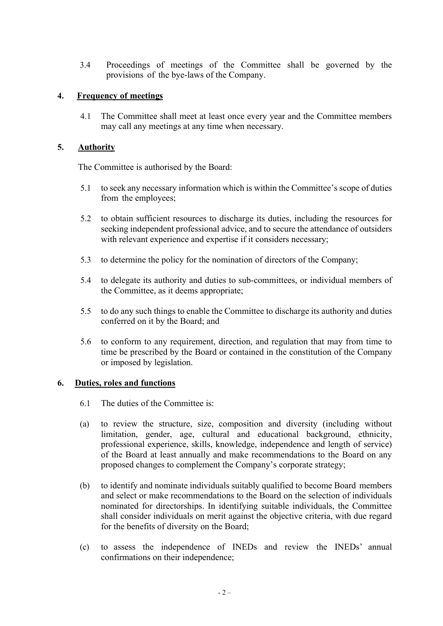3.4 Proceedings of meetings of the Committee shall be governed by the provisions of the bye-laws of the Company.

## **4. Frequency of meetings**

4.1 The Committee shall meet at least once every year and the Committee members may call any meetings at any time when necessary.

### **5. Authority**

The Committee is authorised by the Board:

- 5.1 to seek any necessary information which is within the Committee's scope of duties from the employees;
- 5.2 to obtain sufficient resources to discharge its duties, including the resources for seeking independent professional advice, and to secure the attendance of outsiders with relevant experience and expertise if it considers necessary;
- 5.3 to determine the policy for the nomination of directors of the Company;
- 5.4 to delegate its authority and duties to sub-committees, or individual members of the Committee, as it deems appropriate;
- 5.5 to do any such things to enable the Committee to discharge its authority and duties conferred on it by the Board; and
- 5.6 to conform to any requirement, direction, and regulation that may from time to time be prescribed by the Board or contained in the constitution of the Company or imposed by legislation.

# **6. Duties, roles and functions**

- 6.1 The duties of the Committee is:
- (a) to review the structure, size, composition and diversity (including without limitation, gender, age, cultural and educational background, ethnicity, professional experience, skills, knowledge, independence and length of service) of the Board at least annually and make recommendations to the Board on any proposed changes to complement the Company's corporate strategy;
- (b) to identify and nominate individuals suitably qualified to become Board members and select or make recommendations to the Board on the selection of individuals nominated for directorships. In identifying suitable individuals, the Committee shall consider individuals on merit against the objective criteria, with due regard for the benefits of diversity on the Board;
- (c) to assess the independence of INEDs and review the INEDs' annual confirmations on their independence;